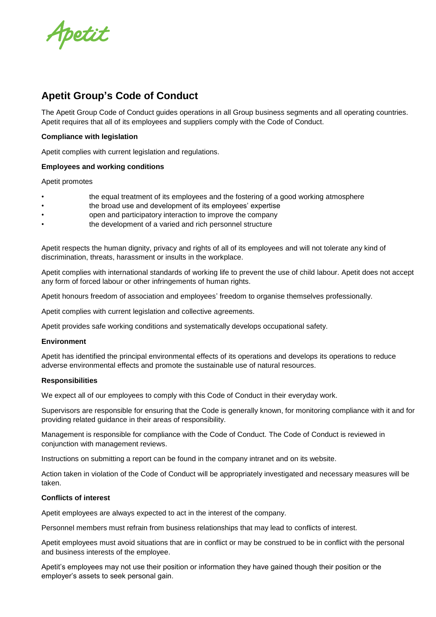Apetit

# **Apetit Group's Code of Conduct**

The Apetit Group Code of Conduct guides operations in all Group business segments and all operating countries. Apetit requires that all of its employees and suppliers comply with the Code of Conduct.

## **Compliance with legislation**

Apetit complies with current legislation and regulations.

#### **Employees and working conditions**

Apetit promotes

- the equal treatment of its employees and the fostering of a good working atmosphere
- the broad use and development of its employees' expertise
- open and participatory interaction to improve the company
- the development of a varied and rich personnel structure

Apetit respects the human dignity, privacy and rights of all of its employees and will not tolerate any kind of discrimination, threats, harassment or insults in the workplace.

Apetit complies with international standards of working life to prevent the use of child labour. Apetit does not accept any form of forced labour or other infringements of human rights.

Apetit honours freedom of association and employees' freedom to organise themselves professionally.

Apetit complies with current legislation and collective agreements.

Apetit provides safe working conditions and systematically develops occupational safety.

#### **Environment**

Apetit has identified the principal environmental effects of its operations and develops its operations to reduce adverse environmental effects and promote the sustainable use of natural resources.

#### **Responsibilities**

We expect all of our employees to comply with this Code of Conduct in their everyday work.

Supervisors are responsible for ensuring that the Code is generally known, for monitoring compliance with it and for providing related guidance in their areas of responsibility.

Management is responsible for compliance with the Code of Conduct. The Code of Conduct is reviewed in conjunction with management reviews.

Instructions on submitting a report can be found in the company intranet and on its website.

Action taken in violation of the Code of Conduct will be appropriately investigated and necessary measures will be taken.

#### **Conflicts of interest**

Apetit employees are always expected to act in the interest of the company.

Personnel members must refrain from business relationships that may lead to conflicts of interest.

Apetit employees must avoid situations that are in conflict or may be construed to be in conflict with the personal and business interests of the employee.

Apetit's employees may not use their position or information they have gained though their position or the employer's assets to seek personal gain.